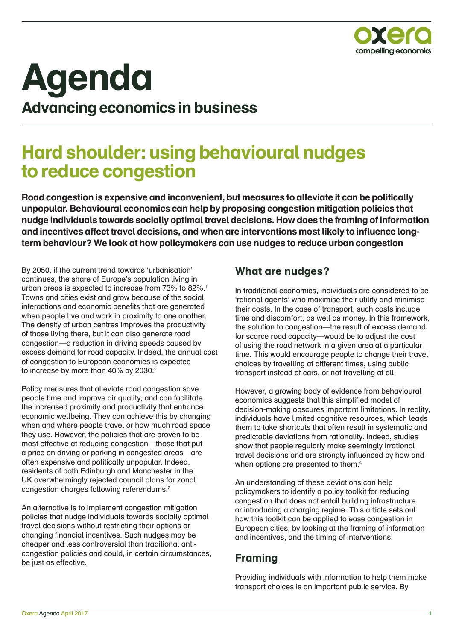

# **Agenda**

**Advancing economics in business** 

## **Hard shoulder: using behavioural nudges to reduce congestion**

**Road congestion is expensive and inconvenient, but measures to alleviate it can be politically unpopular. Behavioural economics can help by proposing congestion mitigation policies that nudge individuals towards socially optimal travel decisions. How does the framing of information and incentives affect travel decisions, and when are interventions most likely to influence longterm behaviour? We look at how policymakers can use nudges to reduce urban congestion**

By 2050, if the current trend towards 'urbanisation' continues, the share of Europe's population living in urban areas is expected to increase from 73% to 82%.<sup>1</sup> Towns and cities exist and grow because of the social interactions and economic benefits that are generated when people live and work in proximity to one another. The density of urban centres improves the productivity of those living there, but it can also generate road congestion—a reduction in driving speeds caused by excess demand for road capacity. Indeed, the annual cost of congestion to European economies is expected to increase by more than 40% by 2030.<sup>2</sup>

Policy measures that alleviate road congestion save people time and improve air quality, and can facilitate the increased proximity and productivity that enhance economic wellbeing. They can achieve this by changing when and where people travel or how much road space they use. However, the policies that are proven to be most effective at reducing congestion—those that put a price on driving or parking in congested areas—are often expensive and politically unpopular. Indeed, residents of both Edinburgh and Manchester in the UK overwhelmingly rejected council plans for zonal congestion charges following referendums.3

An alternative is to implement congestion mitigation policies that nudge individuals towards socially optimal travel decisions without restricting their options or changing financial incentives. Such nudges may be cheaper and less controversial than traditional anticongestion policies and could, in certain circumstances, be just as effective.

#### **What are nudges?**

In traditional economics, individuals are considered to be 'rational agents' who maximise their utility and minimise their costs. In the case of transport, such costs include time and discomfort, as well as money. In this framework, the solution to congestion—the result of excess demand for scarce road capacity—would be to adjust the cost of using the road network in a given area at a particular time. This would encourage people to change their travel choices by travelling at different times, using public transport instead of cars, or not travelling at all.

However, a growing body of evidence from behavioural economics suggests that this simplified model of decision-making obscures important limitations. In reality, individuals have limited cognitive resources, which leads them to take shortcuts that often result in systematic and predictable deviations from rationality. Indeed, studies show that people regularly make seemingly irrational travel decisions and are strongly influenced by how and when options are presented to them.<sup>4</sup>

An understanding of these deviations can help policymakers to identify a policy toolkit for reducing congestion that does not entail building infrastructure or introducing a charging regime. This article sets out how this toolkit can be applied to ease congestion in European cities, by looking at the framing of information and incentives, and the timing of interventions.

#### **Framing**

Providing individuals with information to help them make transport choices is an important public service. By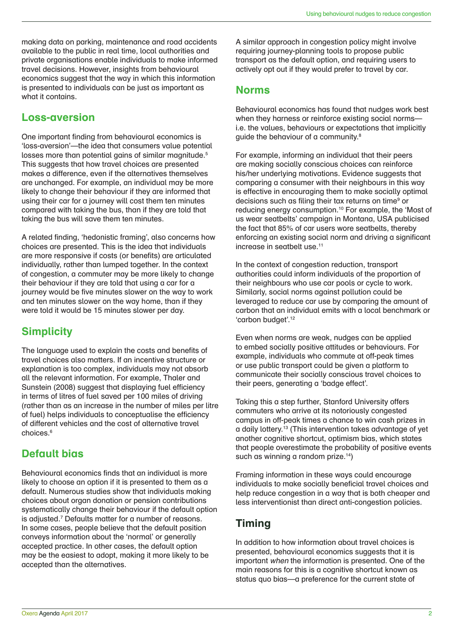making data on parking, maintenance and road accidents available to the public in real time, local authorities and private organisations enable individuals to make informed travel decisions. However, insights from behavioural economics suggest that the way in which this information is presented to individuals can be just as important as what it contains.

#### **Loss-aversion**

One important finding from behavioural economics is 'loss-aversion'—the idea that consumers value potential losses more than potential gains of similar magnitude.<sup>5</sup> This suggests that how travel choices are presented makes a difference, even if the alternatives themselves are unchanged. For example, an individual may be more likely to change their behaviour if they are informed that using their car for a journey will cost them ten minutes compared with taking the bus, than if they are told that taking the bus will save them ten minutes.

A related finding, 'hedonistic framing', also concerns how choices are presented. This is the idea that individuals are more responsive if costs (or benefits) are articulated individually, rather than lumped together. In the context of congestion, a commuter may be more likely to change their behaviour if they are told that using a car for a journey would be five minutes slower on the way to work and ten minutes slower on the way home, than if they were told it would be 15 minutes slower per day.

#### **Simplicity**

The language used to explain the costs and benefits of travel choices also matters. If an incentive structure or explanation is too complex, individuals may not absorb all the relevant information. For example, Thaler and Sunstein (2008) suggest that displaying fuel efficiency in terms of litres of fuel saved per 100 miles of driving (rather than as an increase in the number of miles per litre of fuel) helps individuals to conceptualise the efficiency of different vehicles and the cost of alternative travel choices.<sup>6</sup>

#### **Default bias**

Behavioural economics finds that an individual is more likely to choose an option if it is presented to them as a default. Numerous studies show that individuals making choices about organ donation or pension contributions systematically change their behaviour if the default option is adjusted.7 Defaults matter for a number of reasons. In some cases, people believe that the default position conveys information about the 'normal' or generally accepted practice. In other cases, the default option may be the easiest to adopt, making it more likely to be accepted than the alternatives.

A similar approach in congestion policy might involve requiring journey-planning tools to propose public transport as the default option, and requiring users to actively opt out if they would prefer to travel by car.

#### **Norms**

Behavioural economics has found that nudges work best when they harness or reinforce existing social normsi.e. the values, behaviours or expectations that implicitly guide the behaviour of a community.8

For example, informing an individual that their peers are making socially conscious choices can reinforce his/her underlying motivations. Evidence suggests that comparing a consumer with their neighbours in this way is effective in encouraging them to make socially optimal decisions such as filing their tax returns on time<sup>9</sup> or reducing energy consumption.<sup>10</sup> For example, the 'Most of us wear seatbelts' campaign in Montana, USA publicised the fact that 85% of car users wore seatbelts, thereby enforcing an existing social norm and driving a significant increase in seatbelt use.<sup>11</sup>

In the context of congestion reduction, transport authorities could inform individuals of the proportion of their neighbours who use car pools or cycle to work. Similarly, social norms against pollution could be leveraged to reduce car use by comparing the amount of carbon that an individual emits with a local benchmark or 'carbon budget'.12

Even when norms are weak, nudges can be applied to embed socially positive attitudes or behaviours. For example, individuals who commute at off-peak times or use public transport could be given a platform to communicate their socially conscious travel choices to their peers, generating a 'badge effect'.

Taking this a step further, Stanford University offers commuters who arrive at its notoriously congested campus in off-peak times a chance to win cash prizes in a daily lottery.13 (This intervention takes advantage of yet another cognitive shortcut, optimism bias, which states that people overestimate the probability of positive events such as winning a random prize.<sup>14</sup>)

Framing information in these ways could encourage individuals to make socially beneficial travel choices and help reduce congestion in a way that is both cheaper and less interventionist than direct anti-congestion policies.

#### **Timing**

In addition to how information about travel choices is presented, behavioural economics suggests that it is important when the information is presented. One of the main reasons for this is a cognitive shortcut known as status quo bias—a preference for the current state of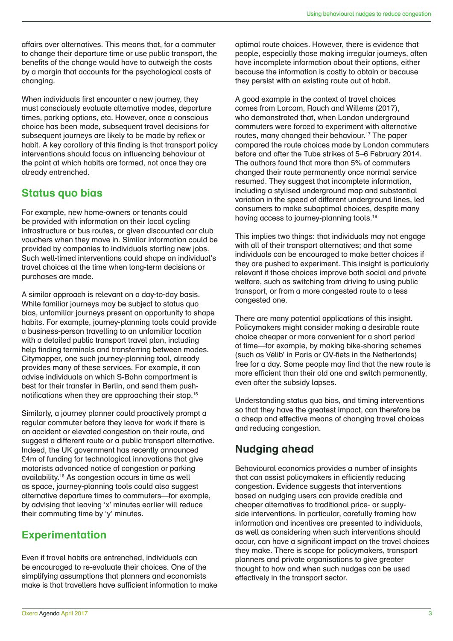affairs over alternatives. This means that, for a commuter to change their departure time or use public transport, the benefits of the change would have to outweigh the costs by a margin that accounts for the psychological costs of changing.

When individuals first encounter a new journey, they must consciously evaluate alternative modes, departure times, parking options, etc. However, once a conscious choice has been made, subsequent travel decisions for subsequent journeys are likely to be made by reflex or habit. A key corollary of this finding is that transport policy interventions should focus on influencing behaviour at the point at which habits are formed, not once they are already entrenched.

#### **Status quo bias**

For example, new home-owners or tenants could be provided with information on their local cycling infrastructure or bus routes, or given discounted car club vouchers when they move in. Similar information could be provided by companies to individuals starting new jobs. Such well-timed interventions could shape an individual's travel choices at the time when long-term decisions or purchases are made.

A similar approach is relevant on a day-to-day basis. While familiar journeys may be subject to status quo bias, unfamiliar journeys present an opportunity to shape habits. For example, journey-planning tools could provide a business-person travelling to an unfamiliar location with a detailed public transport travel plan, including help finding terminals and transferring between modes. Citymapper, one such journey-planning tool, already provides many of these services. For example, it can advise individuals on which S-Bahn compartment is best for their transfer in Berlin, and send them pushnotifications when they are approaching their stop.15

Similarly, a journey planner could proactively prompt a regular commuter before they leave for work if there is an accident or elevated congestion on their route, and suggest a different route or a public transport alternative. Indeed, the UK government has recently announced £4m of funding for technological innovations that give motorists advanced notice of congestion or parking availability.16 As congestion occurs in time as well as space, journey-planning tools could also suggest alternative departure times to commuters—for example, by advising that leaving 'x' minutes earlier will reduce their commuting time by 'y' minutes.

#### **Experimentation**

Even if travel habits are entrenched, individuals can be encouraged to re-evaluate their choices. One of the simplifying assumptions that planners and economists make is that travellers have sufficient information to make optimal route choices. However, there is evidence that people, especially those making irregular journeys, often have incomplete information about their options, either because the information is costly to obtain or because they persist with an existing route out of habit.

A good example in the context of travel choices comes from Larcom, Rauch and Willems (2017), who demonstrated that, when London underground commuters were forced to experiment with alternative routes, many changed their behaviour.17 The paper compared the route choices made by London commuters before and after the Tube strikes of 5–6 February 2014. The authors found that more than 5% of commuters changed their route permanently once normal service resumed. They suggest that incomplete information, including a stylised underground map and substantial variation in the speed of different underground lines, led consumers to make suboptimal choices, despite many having access to journey-planning tools.<sup>18</sup>

This implies two things: that individuals may not engage with all of their transport alternatives; and that some individuals can be encouraged to make better choices if they are pushed to experiment. This insight is particularly relevant if those choices improve both social and private welfare, such as switching from driving to using public transport, or from a more congested route to a less congested one.

There are many potential applications of this insight. Policymakers might consider making a desirable route choice cheaper or more convenient for a short period of time—for example, by making bike-sharing schemes (such as Vélib' in Paris or OV-fiets in the Netherlands) free for a day. Some people may find that the new route is more efficient than their old one and switch permanently, even after the subsidy lapses.

Understanding status quo bias, and timing interventions so that they have the greatest impact, can therefore be a cheap and effective means of changing travel choices and reducing congestion.

### **Nudging ahead**

Behavioural economics provides a number of insights that can assist policymakers in efficiently reducing congestion. Evidence suggests that interventions based on nudging users can provide credible and cheaper alternatives to traditional price- or supplyside interventions. In particular, carefully framing how information and incentives are presented to individuals, as well as considering when such interventions should occur, can have a significant impact on the travel choices they make. There is scope for policymakers, transport planners and private organisations to give greater thought to how and when such nudges can be used effectively in the transport sector.